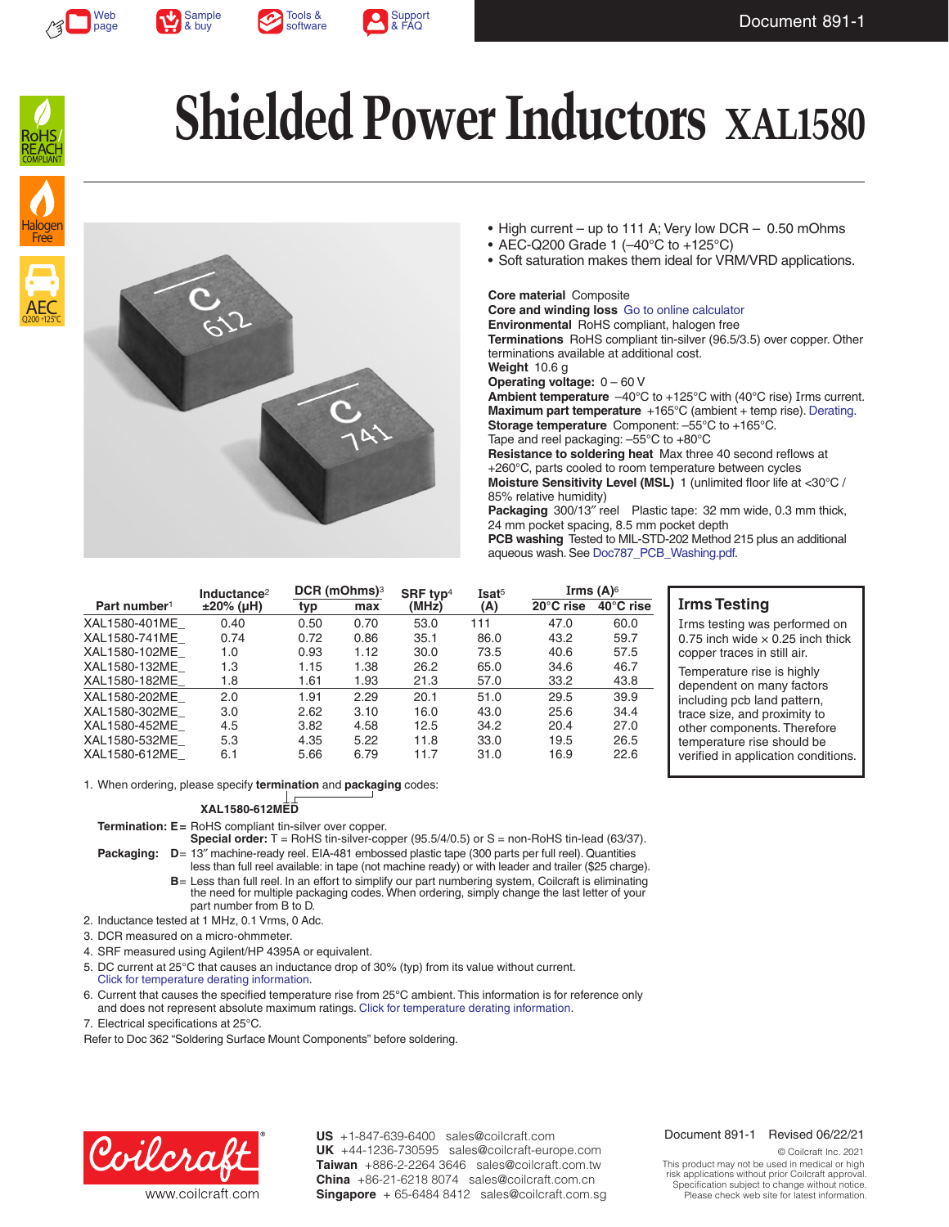







AEC Q200 +125°C

Halogen Free

# **Shielded Power Inductors XAL1580**



- High current up to 111 A; Very low DCR 0.50 mOhms
- AEC-Q200 Grade 1 (–40°C to +125°C)
- Soft saturation makes them ideal for VRM/VRD applications.

#### **Core material** Composite

**Core and winding loss** [Go to online calculator](http://www.coilcraft.com/apps/compare/compare_power.cfm?family=xal1580) **Environmental** RoHS compliant, halogen free **Terminations** RoHS compliant tin-silver (96.5/3.5) over copper. Other terminations available at additional cost. **Weight** 10.6 g **Operating voltage:** 0 – 60 V **Ambient temperature** –40°C to +125°C with (40°C rise) Irms current. **Maximum part temperature** +165°C (ambient + temp rise). [Derating.](http://www.coilcraft.com/apps/compare/compare_power.cfm) **Storage temperature** Component: –55°C to +165°C. Tape and reel packaging: –55°C to +80°C **Resistance to soldering heat** Max three 40 second reflows at +260°C, parts cooled to room temperature between cycles

**Moisture Sensitivity Level (MSL)** 1 (unlimited floor life at <30°C / 85% relative humidity)

**Packaging** 300/13″ reel Plastic tape: 32 mm wide, 0.3 mm thick, 24 mm pocket spacing, 8.5 mm pocket depth **PCB washing** Tested to MIL-STD-202 Method 215 plus an additional

aqueous wash. See [Doc787\\_PCB\\_Washing.pdf](http://www.coilcraft.com/pdfs/Doc787_PCB_Washing.pdf).

|                          | Inductance <sup>2</sup> | $DCR$ (mOhms) <sup>3</sup> |      | SRF typ <sup>4</sup> | Isat <sup>5</sup> | Irms $(A)^6$        |                     |
|--------------------------|-------------------------|----------------------------|------|----------------------|-------------------|---------------------|---------------------|
| Part number <sup>1</sup> | $±20\%$ (µH)            | typ                        | max  | (MHz)                | (A)               | $20^{\circ}$ C rise | $40^{\circ}$ C rise |
| XAL1580-401ME            | 0.40                    | 0.50                       | 0.70 | 53.0                 | 111               | 47.0                | 60.0                |
| XAL1580-741ME            | 0.74                    | 0.72                       | 0.86 | 35.1                 | 86.0              | 43.2                | 59.7                |
| XAL1580-102ME            | 1.0                     | 0.93                       | 1.12 | 30.0                 | 73.5              | 40.6                | 57.5                |
| XAL1580-132ME            | 1.3                     | 1.15                       | 1.38 | 26.2                 | 65.0              | 34.6                | 46.7                |
| XAL1580-182ME            | 1.8                     | 1.61                       | 1.93 | 21.3                 | 57.0              | 33.2                | 43.8                |
| XAL1580-202ME            | 2.0                     | 1.91                       | 2.29 | 20.1                 | 51.0              | 29.5                | 39.9                |
| XAL1580-302ME            | 3.0                     | 2.62                       | 3.10 | 16.0                 | 43.0              | 25.6                | 34.4                |
| XAL1580-452ME            | 4.5                     | 3.82                       | 4.58 | 12.5                 | 34.2              | 20.4                | 27.0                |
| XAL1580-532ME            | 5.3                     | 4.35                       | 5.22 | 11.8                 | 33.0              | 19.5                | 26.5                |
| XAL1580-612ME            | 6.1                     | 5.66                       | 6.79 | 11.7                 | 31.0              | 16.9                | 22.6                |

#### **Irms Testing**

Irms testing was performed on 0.75 inch wide  $\times$  0.25 inch thick copper traces in still air.

Temperature rise is highly dependent on many factors including pcb land pattern, trace size, and proximity to other components. Therefore temperature rise should be verified in application conditions.

1. When ordering, please specify **termination** and **packaging** codes:

#### **XAL1580-612MED**

**Termination: E=** RoHS compliant tin-silver over copper.

**Special order:** T = RoHS tin-silver-copper (95.5/4/0.5) or S = non-RoHS tin-lead (63/37). **Packaging: D**= 13″ machine-ready reel. EIA-481 embossed plastic tape (300 parts per full reel). Quantities

less than full reel available: in tape (not machine ready) or with leader and trailer (\$25 charge). **B**= Less than full reel. In an effort to simplify our part numbering system, Coilcraft is eliminating the need for multiple packaging codes. When ordering, simply change the last letter of your part number from B to D.

2. Inductance tested at 1 MHz, 0.1 Vrms, 0 Adc.

3. DCR measured on a micro-ohmmeter.

4. SRF measured using Agilent/HP 4395A or equivalent.

5. DC current at 25°C that causes an inductance drop of 30% (typ) from its value without current. [Click for temperature derating information.](http://www.coilcraft.com/apps/compare/compare_power.cfm)

6. Current that causes the specified temperature rise from 25°C ambient. This information is for reference only and does not represent absolute maximum ratings. [Click for temperature derating information](http://www.coilcraft.com/apps/compare/compare_power.cfm).

7. Electrical specifications at 25°C.

Refer to Doc 362 "Soldering Surface Mount Components" before soldering.



**US** +1-847-639-6400 sales@coilcraft.com +44-1236-730595 sales@coilcraft-europe.com **UK** +886-2-2264 3646 sales@coilcraft.com.tw **Taiwan** +86-21-6218 8074 sales@coilcraft.com.cn **China** Singapore + 65-6484 8412 sales@coilcraft.com.sg

#### Document 891-1 Revised 06/22/21

© Coilcraft Inc. 2021 This product may not be used in medical or high risk applications without prior Coilcraft approval. Specification subject to change without notice. Please check web site for latest information.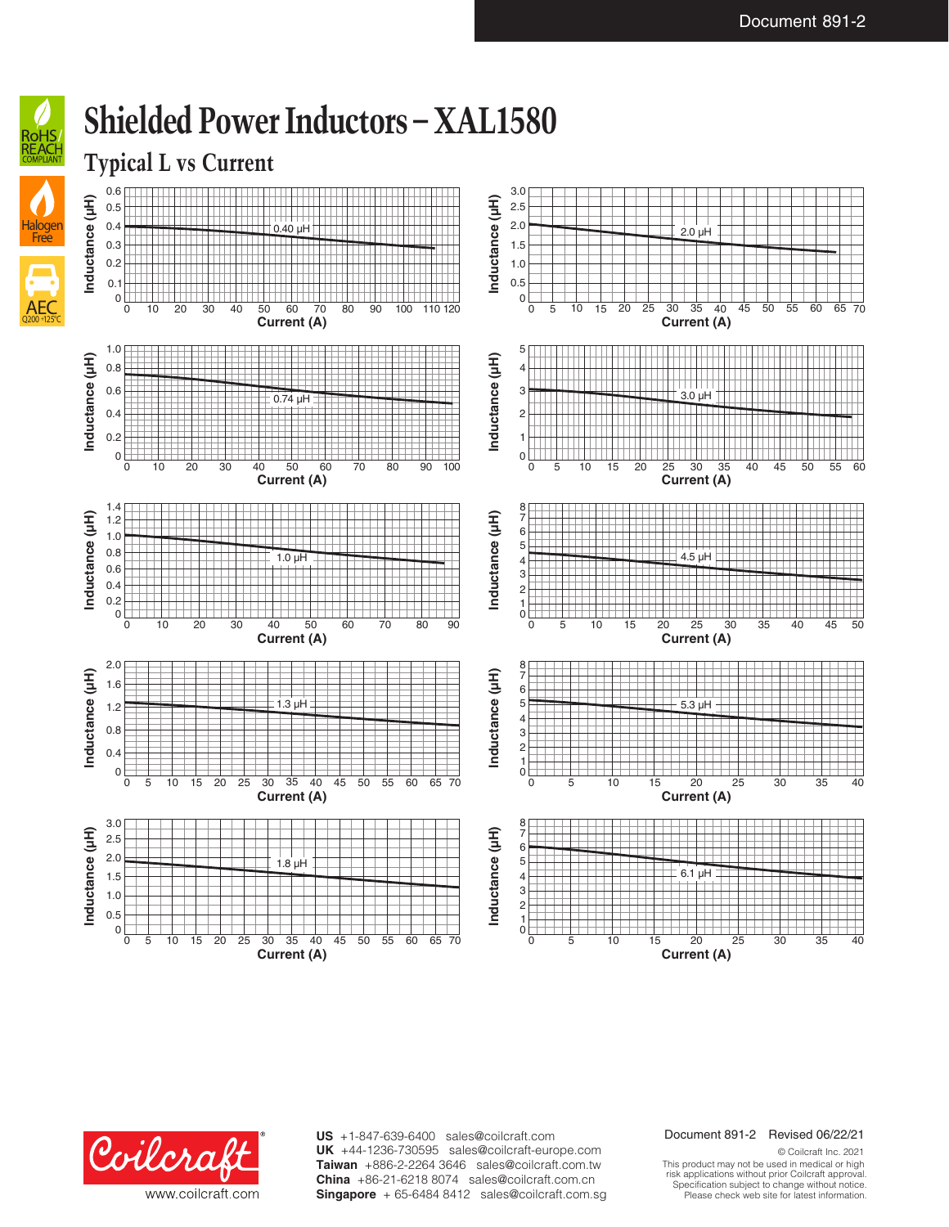



### **Shielded Power Inductors – XAL1580**



0

1.0 0.5

0 5 10 15 20 25 30 35 40 45 50 55 60 65 70

**Current (A)**

**US** +1-847-639-6400 sales@coilcraft.com +44-1236-730595 sales@coilcraft-europe.com **UK** +886-2-2264 3646 sales@coilcraft.com.tw **Taiwan** +86-21-6218 8074 sales@coilcraft.com.cn **China** Singapore + 65-6484 8412 sales@coilcraft.com.sg

#### Document 891-2 Revised 06/22/21

**Current (A)**

0 5 10 15 20 25 30 35 40

© Coilcraft Inc. 2021 This product may not be used in medical or high risk applications without prior Coilcraft approval. Specification subject to change without notice. Please check web site for latest information.